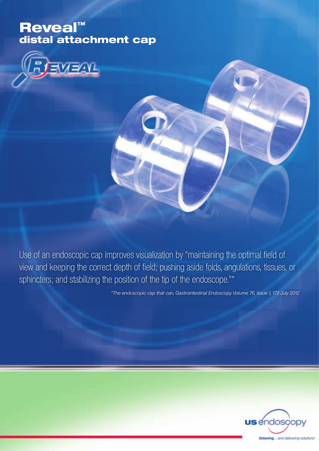# Reveal™ distal attachment cap



Use of an endoscopic cap improves visualization by "maintaining the optimal field of view and keeping the correct depth of field; pushing aside folds, angulations, tissues, or sphincters; and stabilizing the position of the tip of the endoscope."\*

*\*The endoscopic cap that can, Gastrointestinal Endoscopy. Volume 76, Issue 1, 172 July 2012*